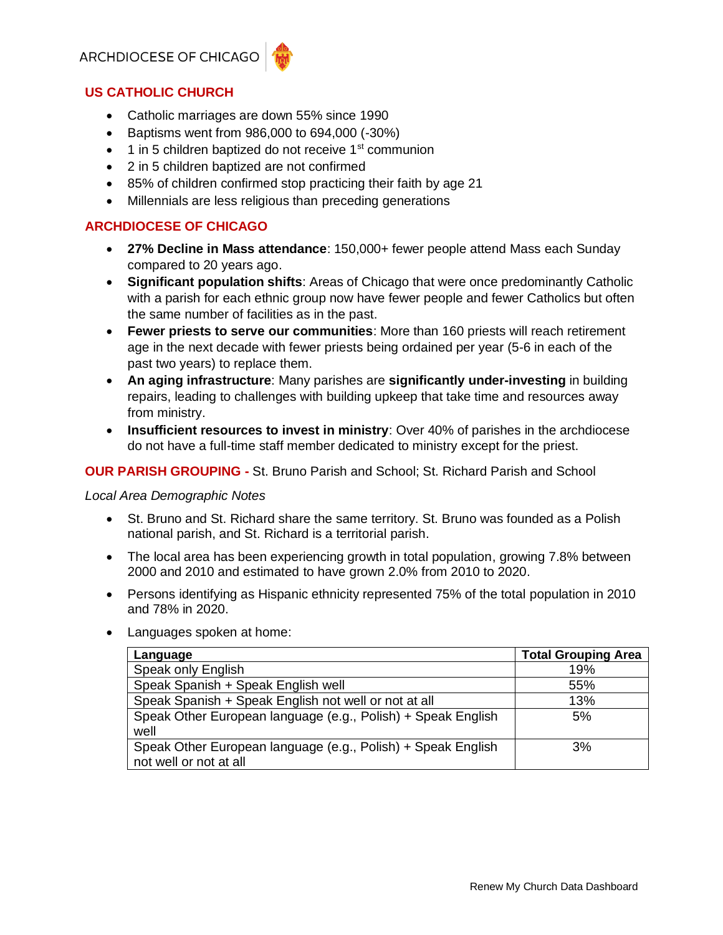# ARCHDIOCESE OF CHICAG



### **US CATHOLIC CHURCH**

- Catholic marriages are down 55% since 1990
- Baptisms went from 986,000 to 694,000 (-30%)
- $\bullet$  1 in 5 children baptized do not receive 1<sup>st</sup> communion
- 2 in 5 children baptized are not confirmed
- 85% of children confirmed stop practicing their faith by age 21
- Millennials are less religious than preceding generations

# **ARCHDIOCESE OF CHICAGO**

- **27% Decline in Mass attendance**: 150,000+ fewer people attend Mass each Sunday compared to 20 years ago.
- **Significant population shifts**: Areas of Chicago that were once predominantly Catholic with a parish for each ethnic group now have fewer people and fewer Catholics but often the same number of facilities as in the past.
- **Fewer priests to serve our communities**: More than 160 priests will reach retirement age in the next decade with fewer priests being ordained per year (5-6 in each of the past two years) to replace them.
- **An aging infrastructure**: Many parishes are **significantly under-investing** in building repairs, leading to challenges with building upkeep that take time and resources away from ministry.
- **Insufficient resources to invest in ministry**: Over 40% of parishes in the archdiocese do not have a full-time staff member dedicated to ministry except for the priest.

### **OUR PARISH GROUPING -** St. Bruno Parish and School; St. Richard Parish and School

#### *Local Area Demographic Notes*

- St. Bruno and St. Richard share the same territory. St. Bruno was founded as a Polish national parish, and St. Richard is a territorial parish.
- The local area has been experiencing growth in total population, growing 7.8% between 2000 and 2010 and estimated to have grown 2.0% from 2010 to 2020.
- Persons identifying as Hispanic ethnicity represented 75% of the total population in 2010 and 78% in 2020.
- Languages spoken at home:

| Language                                                                               | <b>Total Grouping Area</b> |
|----------------------------------------------------------------------------------------|----------------------------|
| Speak only English                                                                     | 19%                        |
| Speak Spanish + Speak English well                                                     | 55%                        |
| Speak Spanish + Speak English not well or not at all                                   | 13%                        |
| Speak Other European language (e.g., Polish) + Speak English<br>well                   | 5%                         |
| Speak Other European language (e.g., Polish) + Speak English<br>not well or not at all | 3%                         |